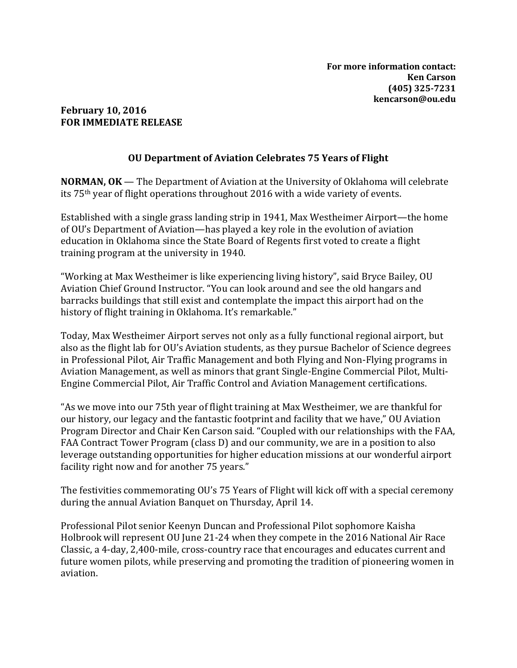## **February 10, 2016 FOR IMMEDIATE RELEASE**

## **OU Department of Aviation Celebrates 75 Years of Flight**

**NORMAN, OK** — The Department of Aviation at the University of Oklahoma will celebrate its 75th year of flight operations throughout 2016 with a wide variety of events.

Established with a single grass landing strip in 1941, Max Westheimer Airport—the home of OU's Department of Aviation—has played a key role in the evolution of aviation education in Oklahoma since the State Board of Regents first voted to create a flight training program at the university in 1940.

"Working at Max Westheimer is like experiencing living history", said Bryce Bailey, OU Aviation Chief Ground Instructor. "You can look around and see the old hangars and barracks buildings that still exist and contemplate the impact this airport had on the history of flight training in Oklahoma. It's remarkable."

Today, Max Westheimer Airport serves not only as a fully functional regional airport, but also as the flight lab for OU's Aviation students, as they pursue Bachelor of Science degrees in Professional Pilot, Air Traffic Management and both Flying and Non-Flying programs in Aviation Management, as well as minors that grant Single-Engine Commercial Pilot, Multi-Engine Commercial Pilot, Air Traffic Control and Aviation Management certifications.

"As we move into our 75th year of flight training at Max Westheimer, we are thankful for our history, our legacy and the fantastic footprint and facility that we have," OU Aviation Program Director and Chair Ken Carson said. "Coupled with our relationships with the FAA, FAA Contract Tower Program (class D) and our community, we are in a position to also leverage outstanding opportunities for higher education missions at our wonderful airport facility right now and for another 75 years."

The festivities commemorating OU's 75 Years of Flight will kick off with a special ceremony during the annual Aviation Banquet on Thursday, April 14.

Professional Pilot senior Keenyn Duncan and Professional Pilot sophomore Kaisha Holbrook will represent OU June 21-24 when they compete in the 2016 National Air Race Classic, a 4-day, 2,400-mile, cross-country race that encourages and educates current and future women pilots, while preserving and promoting the tradition of pioneering women in aviation.